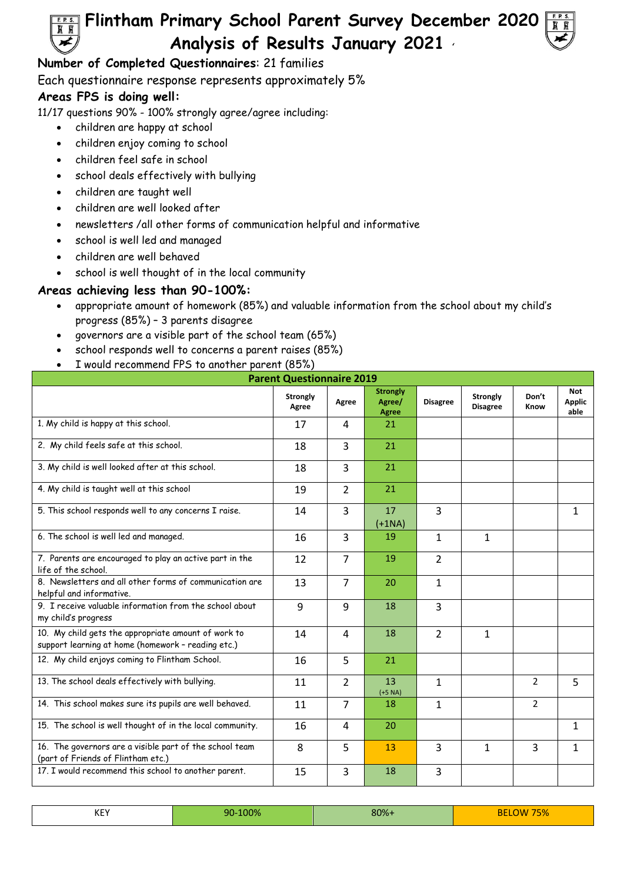

## **Number of Completed Questionnaires**: 21 families

Each questionnaire response represents approximately 5%

## **Areas FPS is doing well:**

11/17 questions 90% - 100% strongly agree/agree including:

- children are happy at school
- children enjoy coming to school
- children feel safe in school
- school deals effectively with bullying
- children are taught well
- children are well looked after
- newsletters /all other forms of communication helpful and informative
- school is well led and managed
- children are well behaved
- school is well thought of in the local community

## **Areas achieving less than 90-100%:**

- appropriate amount of homework (85%) and valuable information from the school about my child's progress (85%) – 3 parents disagree
- governors are a visible part of the school team (65%)
- school responds well to concerns a parent raises (85%)
- I would recommend FPS to another parent (85%)

| <b>Parent Questionnaire 2019</b>                                                                          |                   |                |                                           |                 |                                    |                |                              |  |  |
|-----------------------------------------------------------------------------------------------------------|-------------------|----------------|-------------------------------------------|-----------------|------------------------------------|----------------|------------------------------|--|--|
|                                                                                                           | Strongly<br>Agree | Agree          | <b>Strongly</b><br>Agree/<br><b>Agree</b> | <b>Disagree</b> | <b>Strongly</b><br><b>Disagree</b> | Don't<br>Know  | Not<br><b>Applic</b><br>able |  |  |
| 1. My child is happy at this school.                                                                      | 17                | 4              | 21                                        |                 |                                    |                |                              |  |  |
| 2. My child feels safe at this school.                                                                    | 18                | 3              | 21                                        |                 |                                    |                |                              |  |  |
| 3. My child is well looked after at this school.                                                          | 18                | $\overline{3}$ | 21                                        |                 |                                    |                |                              |  |  |
| 4. My child is taught well at this school                                                                 | 19                | $\overline{2}$ | 21                                        |                 |                                    |                |                              |  |  |
| 5. This school responds well to any concerns I raise.                                                     | 14                | 3              | 17<br>$(+1NA)$                            | 3               |                                    |                | 1                            |  |  |
| 6. The school is well led and managed.                                                                    | 16                | $\overline{3}$ | 19                                        | $\mathbf{1}$    | $\mathbf{1}$                       |                |                              |  |  |
| 7. Parents are encouraged to play an active part in the<br>life of the school.                            | 12                | $\overline{7}$ | 19                                        | $\overline{2}$  |                                    |                |                              |  |  |
| 8. Newsletters and all other forms of communication are<br>helpful and informative.                       | 13                | $\overline{7}$ | 20                                        | $\mathbf{1}$    |                                    |                |                              |  |  |
| 9. I receive valuable information from the school about<br>my child's progress                            | 9                 | 9              | 18                                        | 3               |                                    |                |                              |  |  |
| 10. My child gets the appropriate amount of work to<br>support learning at home (homework - reading etc.) | 14                | 4              | 18                                        | $\overline{2}$  | $\mathbf{1}$                       |                |                              |  |  |
| 12. My child enjoys coming to Flintham School.                                                            | 16                | 5              | 21                                        |                 |                                    |                |                              |  |  |
| 13. The school deals effectively with bullying.                                                           | 11                | $\overline{2}$ | 13<br>$(+5 NA)$                           | 1               |                                    | 2              | 5                            |  |  |
| 14. This school makes sure its pupils are well behaved.                                                   | 11                | $\overline{7}$ | 18                                        | 1               |                                    | $\overline{2}$ |                              |  |  |
| 15. The school is well thought of in the local community.                                                 | 16                | 4              | 20                                        |                 |                                    |                | $\mathbf{1}$                 |  |  |
| 16. The governors are a visible part of the school team<br>(part of Friends of Flintham etc.)             | 8                 | 5              | 13                                        | 3               | $\mathbf{1}$                       | 3              | 1                            |  |  |
| 17. I would recommend this school to another parent.                                                      | 15                | 3              | 18                                        | 3               |                                    |                |                              |  |  |

| KEY | 90-100% | 80%+ | 75%<br>BЕ<br>1 M N 7 |
|-----|---------|------|----------------------|
|     |         |      |                      |